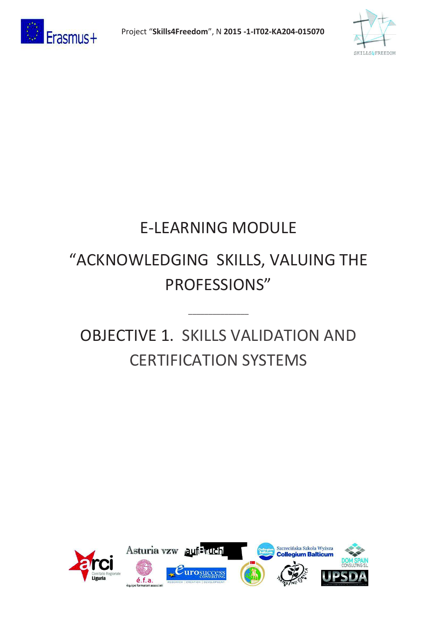



# E-LEARNING MODULE

# "ACKNOWLEDGING SKILLS, VALUING THE PROFESSIONS"

# OBJECTIVE 1. SKILLS VALIDATION AND CERTIFICATION SYSTEMS

\_\_\_\_\_\_\_\_\_\_\_\_\_\_\_

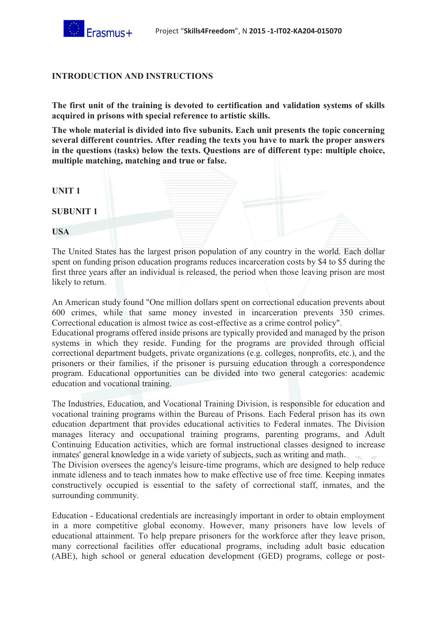#### **INTRODUCTION AND INSTRUCTIONS**

**The first unit of the training is devoted to certification and validation systems of skills acquired in prisons with special reference to artistic skills.** 

**The whole material is divided into five subunits. Each unit presents the topic concerning several different countries. After reading the texts you have to mark the proper answers in the questions (tasks) below the texts. Questions are of different type: multiple choice, multiple matching, matching and true or false.** 

| <b>UNIT1</b>     |  |  |
|------------------|--|--|
| <b>SUBUNIT 1</b> |  |  |
| <b>USA</b>       |  |  |

The United States has the largest prison population of any country in the world. Each dollar spent on funding prison education programs reduces incarceration costs by \$4 to \$5 during the first three years after an individual is released, the period when those leaving prison are most likely to return.

An American study found "One million dollars spent on correctional education prevents about 600 crimes, while that same money invested in incarceration prevents 350 crimes. Correctional education is almost twice as cost-effective as a crime control policy".

Educational programs offered inside prisons are typically provided and managed by the prison systems in which they reside. Funding for the programs are provided through official correctional department budgets, private organizations (e.g. colleges, nonprofits, etc.), and the prisoners or their families, if the prisoner is pursuing education through a correspondence program. Educational opportunities can be divided into two general categories: academic education and vocational training.

The Industries, Education, and Vocational Training Division, is responsible for education and vocational training programs within the Bureau of Prisons. Each Federal prison has its own education department that provides educational activities to Federal inmates. The Division manages literacy and occupational training programs, parenting programs, and Adult Continuing Education activities, which are formal instructional classes designed to increase inmates' general knowledge in a wide variety of subjects, such as writing and math. The Division oversees the agency's leisure-time programs, which are designed to help reduce inmate idleness and to teach inmates how to make effective use of free time. Keeping inmates constructively occupied is essential to the safety of correctional staff, inmates, and the surrounding community.

Education - Educational credentials are increasingly important in order to obtain employment in a more competitive global economy. However, many prisoners have low levels of educational attainment. To help prepare prisoners for the workforce after they leave prison, many correctional facilities offer educational programs, including adult basic education (ABE), high school or general education development (GED) programs, college or post-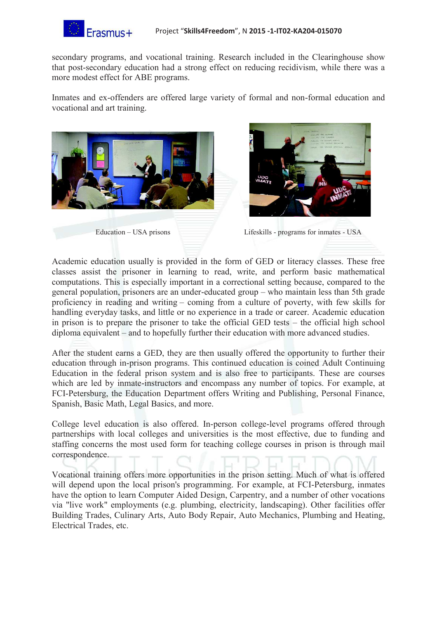

secondary programs, and vocational training. Research included in the Clearinghouse show that post-secondary education had a strong effect on reducing recidivism, while there was a more modest effect for ABE programs.

Inmates and ex-offenders are offered large variety of formal and non-formal education and vocational and art training.





Education – USA prisons Lifeskills - programs for inmates - USA

Academic education usually is provided in the form of GED or literacy classes. These free classes assist the prisoner in learning to read, write, and perform basic mathematical computations. This is especially important in a correctional setting because, compared to the general population, prisoners are an under-educated group – who maintain less than 5th grade proficiency in reading and writing – coming from a culture of poverty, with few skills for handling everyday tasks, and little or no experience in a trade or career. Academic education in prison is to prepare the prisoner to take the official GED tests – the official high school diploma equivalent – and to hopefully further their education with more advanced studies.

After the student earns a GED, they are then usually offered the opportunity to further their education through in-prison programs. This continued education is coined Adult Continuing Education in the federal prison system and is also free to participants. These are courses which are led by inmate-instructors and encompass any number of topics. For example, at FCI-Petersburg, the Education Department offers Writing and Publishing, Personal Finance, Spanish, Basic Math, Legal Basics, and more.

College level education is also offered. In-person college-level programs offered through partnerships with local colleges and universities is the most effective, due to funding and staffing concerns the most used form for teaching college courses in prison is through mail correspondence.

Vocational training offers more opportunities in the prison setting. Much of what is offered will depend upon the local prison's programming. For example, at FCI-Petersburg, inmates have the option to learn Computer Aided Design, Carpentry, and a number of other vocations via "live work" employments (e.g. plumbing, electricity, landscaping). Other facilities offer Building Trades, Culinary Arts, Auto Body Repair, Auto Mechanics, Plumbing and Heating, Electrical Trades, etc.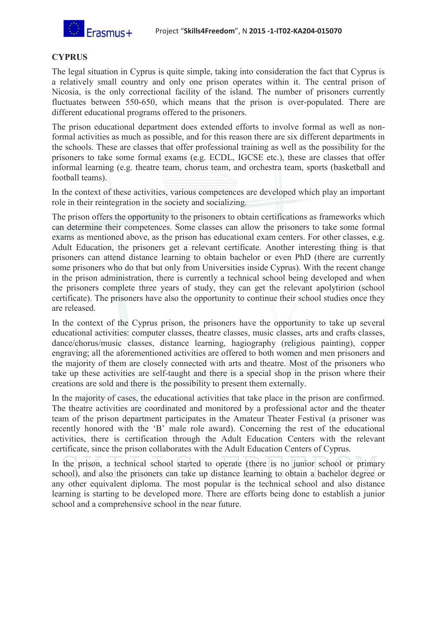

## **CYPRUS**

The legal situation in Cyprus is quite simple, taking into consideration the fact that Cyprus is a relatively small country and only one prison operates within it. The central prison of Nicosia, is the only correctional facility of the island. The number of prisoners currently fluctuates between 550-650, which means that the prison is over-populated. There are different educational programs offered to the prisoners.

The prison educational department does extended efforts to involve formal as well as nonformal activities as much as possible, and for this reason there are six different departments in the schools. These are classes that offer professional training as well as the possibility for the prisoners to take some formal exams (e.g. ECDL, IGCSE etc.), these are classes that offer informal learning (e.g. theatre team, chorus team, and orchestra team, sports (basketball and football teams).

In the context of these activities, various competences are developed which play an important role in their reintegration in the society and socializing.

The prison offers the opportunity to the prisoners to obtain certifications as frameworks which can determine their competences. Some classes can allow the prisoners to take some formal exams as mentioned above, as the prison has educational exam centers. For other classes, e.g. Adult Education, the prisoners get a relevant certificate. Another interesting thing is that prisoners can attend distance learning to obtain bachelor or even PhD (there are currently some prisoners who do that but only from Universities inside Cyprus). With the recent change in the prison administration, there is currently a technical school being developed and when the prisoners complete three years of study, they can get the relevant apolytirion (school certificate). The prisoners have also the opportunity to continue their school studies once they are released.

In the context of the Cyprus prison, the prisoners have the opportunity to take up several educational activities: computer classes, theatre classes, music classes, arts and crafts classes, dance/chorus/music classes, distance learning, hagiography (religious painting), copper engraving; all the aforementioned activities are offered to both women and men prisoners and the majority of them are closely connected with arts and theatre. Most of the prisoners who take up these activities are self-taught and there is a special shop in the prison where their creations are sold and there is the possibility to present them externally.

In the majority of cases, the educational activities that take place in the prison are confirmed. The theatre activities are coordinated and monitored by a professional actor and the theater team of the prison department participates in the Amateur Theater Festival (a prisoner was recently honored with the 'B' male role award). Concerning the rest of the educational activities, there is certification through the Adult Education Centers with the relevant certificate, since the prison collaborates with the Adult Education Centers of Cyprus.

In the prison, a technical school started to operate (there is no junior school or primary school), and also the prisoners can take up distance learning to obtain a bachelor degree or any other equivalent diploma. The most popular is the technical school and also distance learning is starting to be developed more. There are efforts being done to establish a junior school and a comprehensive school in the near future.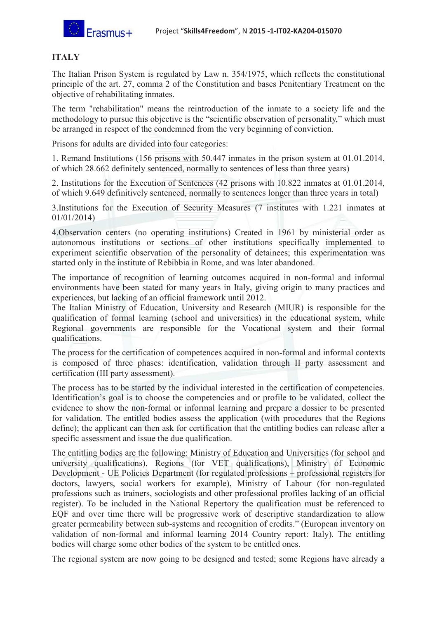

# **ITALY**

The Italian Prison System is regulated by Law n. 354/1975, which reflects the constitutional principle of the art. 27, comma 2 of the Constitution and bases Penitentiary Treatment on the objective of rehabilitating inmates.

The term "rehabilitation" means the reintroduction of the inmate to a society life and the methodology to pursue this objective is the "scientific observation of personality," which must be arranged in respect of the condemned from the very beginning of conviction.

Prisons for adults are divided into four categories:

1. Remand Institutions (156 prisons with 50.447 inmates in the prison system at 01.01.2014, of which 28.662 definitely sentenced, normally to sentences of less than three years)

2. Institutions for the Execution of Sentences (42 prisons with 10.822 inmates at 01.01.2014, of which 9.649 definitively sentenced, normally to sentences longer than three years in total)

3.Institutions for the Execution of Security Measures (7 institutes with 1.221 inmates at 01/01/2014)

4.Observation centers (no operating institutions) Created in 1961 by ministerial order as autonomous institutions or sections of other institutions specifically implemented to experiment scientific observation of the personality of detainees; this experimentation was started only in the institute of Rebibbia in Rome, and was later abandoned.

The importance of recognition of learning outcomes acquired in non-formal and informal environments have been stated for many years in Italy, giving origin to many practices and experiences, but lacking of an official framework until 2012.

The Italian Ministry of Education, University and Research (MIUR) is responsible for the qualification of formal learning (school and universities) in the educational system, while Regional governments are responsible for the Vocational system and their formal qualifications.

The process for the certification of competences acquired in non-formal and informal contexts is composed of three phases: identification, validation through II party assessment and certification (III party assessment).

The process has to be started by the individual interested in the certification of competencies. Identification's goal is to choose the competencies and or profile to be validated, collect the evidence to show the non-formal or informal learning and prepare a dossier to be presented for validation. The entitled bodies assess the application (with procedures that the Regions define); the applicant can then ask for certification that the entitling bodies can release after a specific assessment and issue the due qualification.

The entitling bodies are the following: Ministry of Education and Universities (for school and university qualifications), Regions (for VET qualifications), Ministry of Economic Development - UE Policies Department (for regulated professions – professional registers for doctors, lawyers, social workers for example), Ministry of Labour (for non-regulated professions such as trainers, sociologists and other professional profiles lacking of an official register). To be included in the National Repertory the qualification must be referenced to EQF and over time there will be progressive work of descriptive standardization to allow greater permeability between sub-systems and recognition of credits." (European inventory on validation of non-formal and informal learning 2014 Country report: Italy). The entitling bodies will charge some other bodies of the system to be entitled ones.

The regional system are now going to be designed and tested; some Regions have already a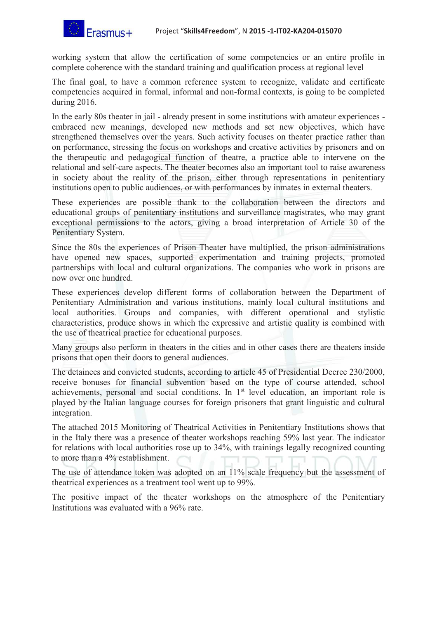working system that allow the certification of some competencies or an entire profile in complete coherence with the standard training and qualification process at regional level

The final goal, to have a common reference system to recognize, validate and certificate competencies acquired in formal, informal and non-formal contexts, is going to be completed during 2016.

In the early 80s theater in jail - already present in some institutions with amateur experiences embraced new meanings, developed new methods and set new objectives, which have strengthened themselves over the years. Such activity focuses on theater practice rather than on performance, stressing the focus on workshops and creative activities by prisoners and on the therapeutic and pedagogical function of theatre, a practice able to intervene on the relational and self-care aspects. The theater becomes also an important tool to raise awareness in society about the reality of the prison, either through representations in penitentiary institutions open to public audiences, or with performances by inmates in external theaters.

These experiences are possible thank to the collaboration between the directors and educational groups of penitentiary institutions and surveillance magistrates, who may grant exceptional permissions to the actors, giving a broad interpretation of Article 30 of the Penitentiary System.

Since the 80s the experiences of Prison Theater have multiplied, the prison administrations have opened new spaces, supported experimentation and training projects, promoted partnerships with local and cultural organizations. The companies who work in prisons are now over one hundred.

These experiences develop different forms of collaboration between the Department of Penitentiary Administration and various institutions, mainly local cultural institutions and local authorities. Groups and companies, with different operational and stylistic characteristics, produce shows in which the expressive and artistic quality is combined with the use of theatrical practice for educational purposes.

Many groups also perform in theaters in the cities and in other cases there are theaters inside prisons that open their doors to general audiences.

The detainees and convicted students, according to article 45 of Presidential Decree 230/2000, receive bonuses for financial subvention based on the type of course attended, school achievements, personal and social conditions. In 1<sup>st</sup> level education, an important role is played by the Italian language courses for foreign prisoners that grant linguistic and cultural integration.

The attached 2015 Monitoring of Theatrical Activities in Penitentiary Institutions shows that in the Italy there was a presence of theater workshops reaching 59% last year. The indicator for relations with local authorities rose up to 34%, with trainings legally recognized counting to more than a 4% establishment.

The use of attendance token was adopted on an 11% scale frequency but the assessment of theatrical experiences as a treatment tool went up to 99%.

The positive impact of the theater workshops on the atmosphere of the Penitentiary Institutions was evaluated with a 96% rate.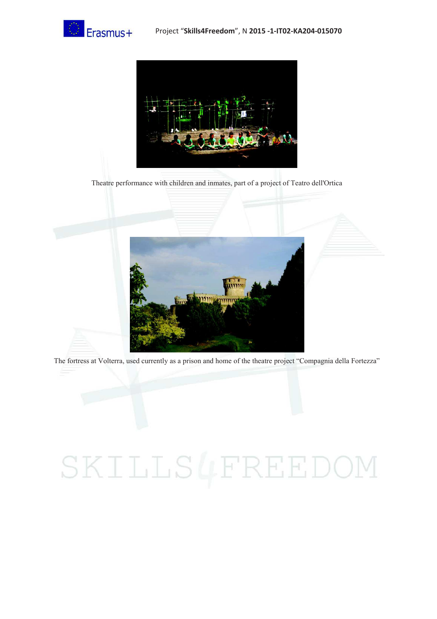



Theatre performance with children and inmates, part of a project of Teatro dell'Ortica



The fortress at Volterra, used currently as a prison and home of the theatre project "Compagnia della Fortezza"

# SKILLS4FREEDOM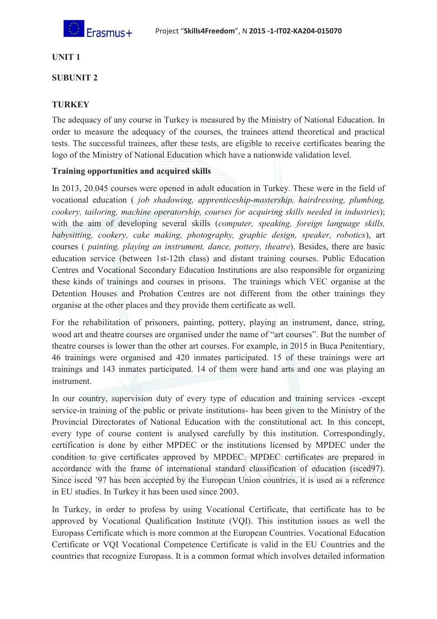

## **UNIT 1**

### **SUBUNIT 2**

# **TURKEY**

The adequacy of any course in Turkey is measured by the Ministry of National Education. In order to measure the adequacy of the courses, the trainees attend theoretical and practical tests. The successful trainees, after these tests, are eligible to receive certificates bearing the logo of the Ministry of National Education which have a nationwide validation level.

#### **Training opportunities and acquired skills**

In 2013, 20.045 courses were opened in adult education in Turkey. These were in the field of vocational education ( *job shadowing, apprenticeship-mastership, hairdressing, plumbing, cookery, tailoring, machine operatorship, courses for acquiring skills needed in industries*); with the aim of developing several skills (*computer, speaking, foreign language skills, babysitting, cookery, cake making, photography, graphic design, speaker, robotics*), art courses ( *painting, playing an instrument, dance, pottery, theatre*). Besides, there are basic education service (between 1st-12th class) and distant training courses. Public Education Centres and Vocational Secondary Education Institutions are also responsible for organizing these kinds of trainings and courses in prisons. The trainings which VEC organise at the Detention Houses and Probation Centres are not different from the other trainings they organise at the other places and they provide them certificate as well.

For the rehabilitation of prisoners, painting, pottery, playing an instrument, dance, string, wood art and theatre courses are organised under the name of "art courses". But the number of theatre courses is lower than the other art courses. For example, in 2015 in Buca Penitentiary, 46 trainings were organised and 420 inmates participated. 15 of these trainings were art trainings and 143 inmates participated. 14 of them were hand arts and one was playing an instrument.

In our country, supervision duty of every type of education and training services -except service-in training of the public or private institutions- has been given to the Ministry of the Provincial Directorates of National Education with the constitutional act. In this concept, every type of course content is analysed carefully by this institution. Correspondingly, certification is done by either MPDEC or the institutions licensed by MPDEC under the condition to give certificates approved by MPDEC. MPDEC certificates are prepared in accordance with the frame of international standard classification of education (isced97). Since isced '97 has been accepted by the European Union countries, it is used as a reference in EU studies. In Turkey it has been used since 2003.

In Turkey, in order to profess by using Vocational Certificate, that certificate has to be approved by Vocational Qualification Institute (VQI). This institution issues as well the Europass Certificate which is more common at the European Countries. Vocational Education Certificate or VQI Vocational Competence Certificate is valid in the EU Countries and the countries that recognize Europass. It is a common format which involves detailed information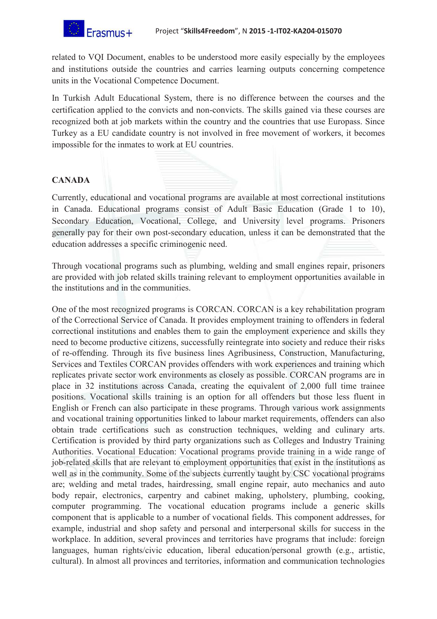related to VQI Document, enables to be understood more easily especially by the employees and institutions outside the countries and carries learning outputs concerning competence units in the Vocational Competence Document.

In Turkish Adult Educational System, there is no difference between the courses and the certification applied to the convicts and non-convicts. The skills gained via these courses are recognized both at job markets within the country and the countries that use Europass. Since Turkey as a EU candidate country is not involved in free movement of workers, it becomes impossible for the inmates to work at EU countries.

# **CANADA**

Currently, educational and vocational programs are available at most correctional institutions in Canada. Educational programs consist of Adult Basic Education (Grade 1 to 10), Secondary Education, Vocational, College, and University level programs. Prisoners generally pay for their own post-secondary education, unless it can be demonstrated that the education addresses a specific criminogenic need.

Through vocational programs such as plumbing, welding and small engines repair, prisoners are provided with job related skills training relevant to employment opportunities available in the institutions and in the communities.

One of the most recognized programs is CORCAN. CORCAN is a key rehabilitation program of the Correctional Service of Canada. It provides employment training to offenders in federal correctional institutions and enables them to gain the employment experience and skills they need to become productive citizens, successfully reintegrate into society and reduce their risks of re-offending. Through its five business lines Agribusiness, Construction, Manufacturing, Services and Textiles CORCAN provides offenders with work experiences and training which replicates private sector work environments as closely as possible. CORCAN programs are in place in 32 institutions across Canada, creating the equivalent of 2,000 full time trainee positions. Vocational skills training is an option for all offenders but those less fluent in English or French can also participate in these programs. Through various work assignments and vocational training opportunities linked to labour market requirements, offenders can also obtain trade certifications such as construction techniques, welding and culinary arts. Certification is provided by third party organizations such as Colleges and Industry Training Authorities. Vocational Education: Vocational programs provide training in a wide range of job-related skills that are relevant to employment opportunities that exist in the institutions as well as in the community. Some of the subjects currently taught by CSC vocational programs are; welding and metal trades, hairdressing, small engine repair, auto mechanics and auto body repair, electronics, carpentry and cabinet making, upholstery, plumbing, cooking, computer programming. The vocational education programs include a generic skills component that is applicable to a number of vocational fields. This component addresses, for example, industrial and shop safety and personal and interpersonal skills for success in the workplace. In addition, several provinces and territories have programs that include: foreign languages, human rights/civic education, liberal education/personal growth (e.g., artistic, cultural). In almost all provinces and territories, information and communication technologies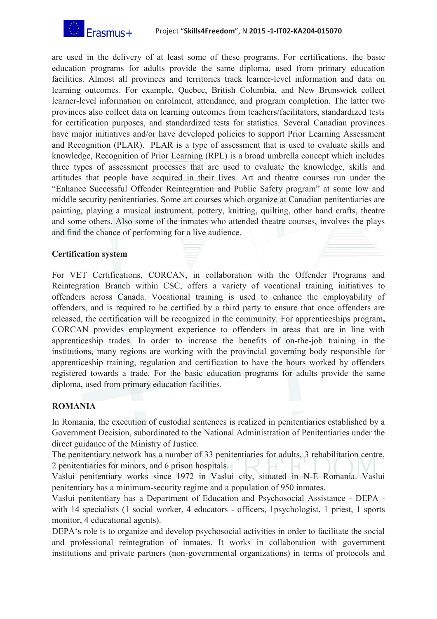

are used in the delivery of at least some of these programs. For certifications, the basic education programs for adults provide the same diploma, used from primary education facilities. Almost all provinces and territories track learner-level information and data on learning outcomes. For example, Quebec, British Columbia, and New Brunswick collect learner-level information on enrolment, attendance, and program completion. The latter two provinces also collect data on learning outcomes from teachers/facilitators, standardized tests for certification purposes, and standardized tests for statistics. Several Canadian provinces have major initiatives and/or have developed policies to support Prior Learning Assessment and Recognition (PLAR). PLAR is a type of assessment that is used to evaluate skills and knowledge, Recognition of Prior Learning (RPL) is a broad umbrella concept which includes three types of assessment processes that are used to evaluate the knowledge, skills and attitudes that people have acquired in their lives. Art and theatre courses run under the "Enhance Successful Offender Reintegration and Public Safety program" at some low and middle security penitentiaries. Some art courses which organize at Canadian penitentiaries are painting, playing a musical instrument, pottery, knitting, quilting, other hand crafts, theatre and some others. Also some of the inmates who attended theatre courses, involves the plays and find the chance of performing for a live audience.

#### **Certification system**

For VET Certifications, CORCAN, in collaboration with the Offender Programs and Reintegration Branch within CSC, offers a variety of vocational training initiatives to offenders across Canada. Vocational training is used to enhance the employability of offenders, and is required to be certified by a third party to ensure that once offenders are released, the certification will be recognized in the community. For apprenticeships program**,**  CORCAN provides employment experience to offenders in areas that are in line with apprenticeship trades. In order to increase the benefits of on-the-job training in the institutions, many regions are working with the provincial governing body responsible for apprenticeship training, regulation and certification to have the hours worked by offenders registered towards a trade. For the basic education programs for adults provide the same diploma, used from primary education facilities.

# **ROMANIA**

In Romania, the execution of custodial sentences is realized in penitentiaries established by a Government Decision, subordinated to the National Administration of Penitentiaries under the direct guidance of the Ministry of Justice.

The penitentiary network has a number of 33 penitentiaries for adults, 3 rehabilitation centre, 2 penitentiaries for minors, and 6 prison hospitals.

Vaslui penitentiary works since 1972 in Vaslui city, situated in N-E Romania. Vaslui penitentiary has a minimum-security regime and a population of 950 inmates.

Vaslui penitentiary has a Department of Education and Psychosocial Assistance - DEPA with 14 specialists (1 social worker, 4 educators - officers, 1psychologist, 1 priest, 1 sports monitor, 4 educational agents).

DEPA's role is to organize and develop psychosocial activities in order to facilitate the social and professional reintegration of inmates. It works in collaboration with government institutions and private partners (non-governmental organizations) in terms of protocols and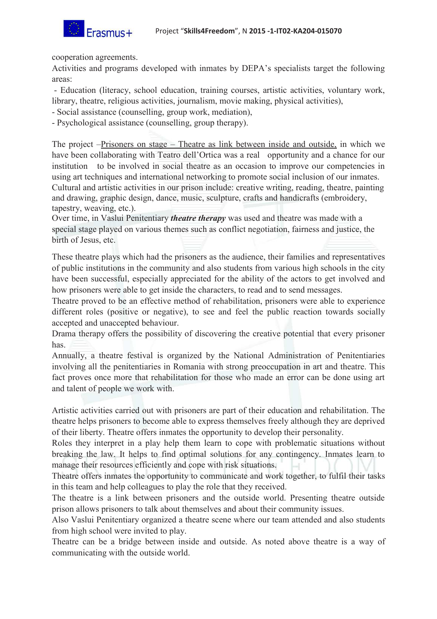

cooperation agreements.

Activities and programs developed with inmates by DEPA's specialists target the following areas:

 - Education (literacy, school education, training courses, artistic activities, voluntary work, library, theatre, religious activities, journalism, movie making, physical activities),

- Social assistance (counselling, group work, mediation),

- Psychological assistance (counselling, group therapy).

The project –Prisoners on stage – Theatre as link between inside and outside, in which we have been collaborating with Teatro dell'Ortica was a real opportunity and a chance for our institution to be involved in social theatre as an occasion to improve our competencies in using art techniques and international networking to promote social inclusion of our inmates. Cultural and artistic activities in our prison include: creative writing, reading, theatre, painting and drawing, graphic design, dance, music, sculpture, crafts and handicrafts (embroidery, tapestry, weaving, etc.).

Over time, in Vaslui Penitentiary *theatre therapy* was used and theatre was made with a special stage played on various themes such as conflict negotiation, fairness and justice, the birth of Jesus, etc.

These theatre plays which had the prisoners as the audience, their families and representatives of public institutions in the community and also students from various high schools in the city have been successful, especially appreciated for the ability of the actors to get involved and how prisoners were able to get inside the characters, to read and to send messages.

Theatre proved to be an effective method of rehabilitation, prisoners were able to experience different roles (positive or negative), to see and feel the public reaction towards socially accepted and unaccepted behaviour.

Drama therapy offers the possibility of discovering the creative potential that every prisoner has.

Annually, a theatre festival is organized by the National Administration of Penitentiaries involving all the penitentiaries in Romania with strong preoccupation in art and theatre. This fact proves once more that rehabilitation for those who made an error can be done using art and talent of people we work with.

Artistic activities carried out with prisoners are part of their education and rehabilitation. The theatre helps prisoners to become able to express themselves freely although they are deprived of their liberty. Theatre offers inmates the opportunity to develop their personality.

Roles they interpret in a play help them learn to cope with problematic situations without breaking the law. It helps to find optimal solutions for any contingency. Inmates learn to manage their resources efficiently and cope with risk situations.

Theatre offers inmates the opportunity to communicate and work together, to fulfil their tasks in this team and help colleagues to play the role that they received.

The theatre is a link between prisoners and the outside world. Presenting theatre outside prison allows prisoners to talk about themselves and about their community issues.

Also Vaslui Penitentiary organized a theatre scene where our team attended and also students from high school were invited to play.

Theatre can be a bridge between inside and outside. As noted above theatre is a way of communicating with the outside world.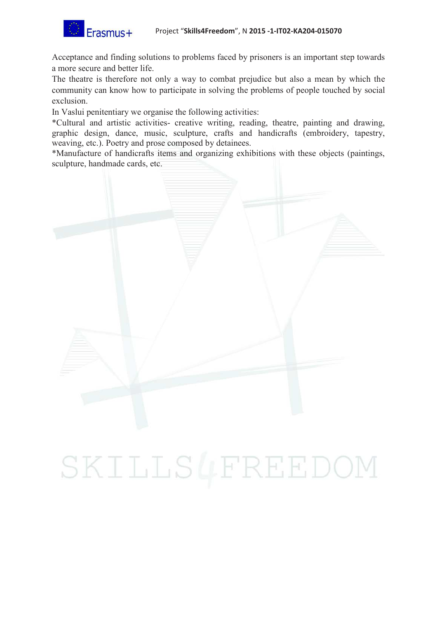Acceptance and finding solutions to problems faced by prisoners is an important step towards a more secure and better life.

The theatre is therefore not only a way to combat prejudice but also a mean by which the community can know how to participate in solving the problems of people touched by social exclusion.

In Vaslui penitentiary we organise the following activities:

\*Cultural and artistic activities- creative writing, reading, theatre, painting and drawing, graphic design, dance, music, sculpture, crafts and handicrafts (embroidery, tapestry, weaving, etc.). Poetry and prose composed by detainees.

\*Manufacture of handicrafts items and organizing exhibitions with these objects (paintings, sculpture, handmade cards, etc.



# SKILLS4FREEDOM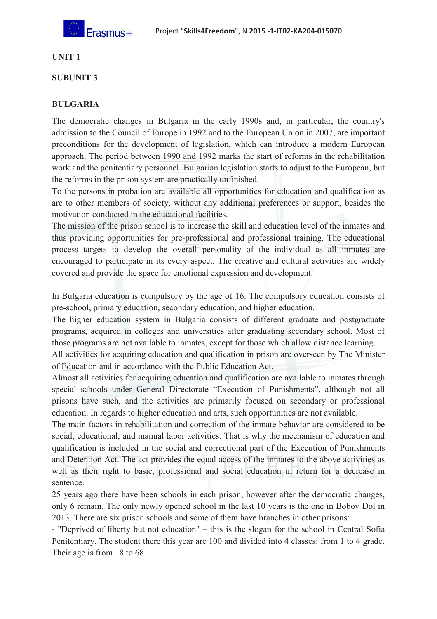

## **UNIT 1**

### **SUBUNIT 3**

## **BULGARIA**

The democratic changes in Bulgaria in the early 1990s and, in particular, the country's admission to the Council of Europe in 1992 and to the European Union in 2007, are important preconditions for the development of legislation, which can introduce a modern European approach. The period between 1990 and 1992 marks the start of reforms in the rehabilitation work and the penitentiary personnel. Bulgarian legislation starts to adjust to the European, but the reforms in the prison system are practically unfinished.

To the persons in probation are available all opportunities for education and qualification as are to other members of society, without any additional preferences or support, besides the motivation conducted in the educational facilities.

The mission of the prison school is to increase the skill and education level of the inmates and thus providing opportunities for pre-professional and professional training. The educational process targets to develop the overall personality of the individual as all inmates are encouraged to participate in its every aspect. The creative and cultural activities are widely covered and provide the space for emotional expression and development.

In Bulgaria education is compulsory by the age of 16. The compulsory education consists of pre-school, primary education, secondary education, and higher education.

The higher education system in Bulgaria consists of different graduate and postgraduate programs, acquired in colleges and universities after graduating secondary school. Most of those programs are not available to inmates, except for those which allow distance learning.

All activities for acquiring education and qualification in prison are overseen by The Minister of Education and in accordance with the Public Education Act.

Almost all activities for acquiring education and qualification are available to inmates through special schools under General Directorate "Execution of Punishments", although not all prisons have such, and the activities are primarily focused on secondary or professional education. In regards to higher education and arts, such opportunities are not available.

The main factors in rehabilitation and correction of the inmate behavior are considered to be social, educational, and manual labor activities. That is why the mechanism of education and qualification is included in the social and correctional part of the Execution of Punishments and Detention Act. The act provides the equal access of the inmates to the above activities as well as their right to basic, professional and social education in return for a decrease in sentence.

25 years ago there have been schools in each prison, however after the democratic changes, only 6 remain. The only newly opened school in the last 10 years is the one in Bobov Dol in 2013. There are six prison schools and some of them have branches in other prisons:

- "Deprived of liberty but not education" – this is the slogan for the school in Central Sofia Penitentiary. The student there this year are 100 and divided into 4 classes: from 1 to 4 grade. Their age is from 18 to 68.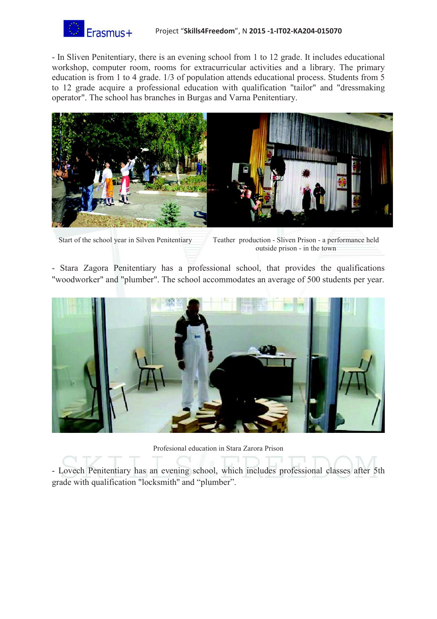

- In Sliven Penitentiary, there is an evening school from 1 to 12 grade. It includes educational workshop, computer room, rooms for extracurricular activities and a library. The primary education is from 1 to 4 grade. 1/3 of population attends educational process. Students from 5 to 12 grade acquire a professional education with qualification "tailor" and "dressmaking operator". The school has branches in Burgas and Varna Penitentiary.



Start of the school year in Silven Penitentiary Teather production - Sliven Prison - a performance held outside prison - in the town

- Stara Zagora Penitentiary has a professional school, that provides the qualifications "woodworker" and "plumber". The school accommodates an average of 500 students per year.



Profesional education in Stara Zarora Prison

- Lovech Penitentiary has an evening school, which includes professional classes after 5th grade with qualification "locksmith'' and "plumber".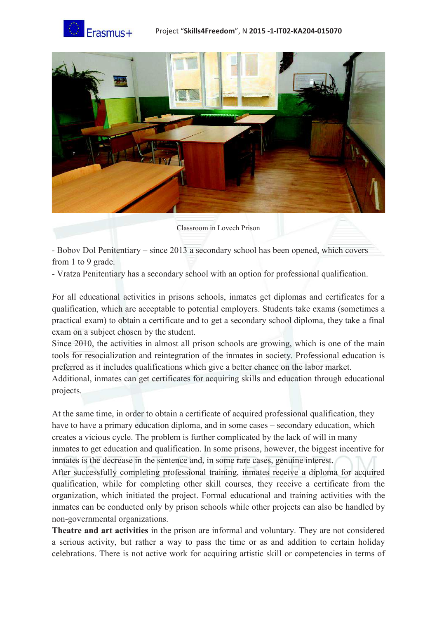



Classroom in Lovech Prison

- Bobov Dol Penitentiary – since 2013 a secondary school has been opened, which covers from 1 to 9 grade.

- Vratza Penitentiary has a secondary school with an option for professional qualification.

For all educational activities in prisons schools, inmates get diplomas and certificates for a qualification, which are acceptable to potential employers. Students take exams (sometimes a practical exam) to obtain a certificate and to get a secondary school diploma, they take a final exam on a subject chosen by the student.

Since 2010, the activities in almost all prison schools are growing, which is one of the main tools for resocialization and reintegration of the inmates in society. Professional education is preferred as it includes qualifications which give a better chance on the labor market.

Additional, inmates can get certificates for acquiring skills and education through educational projects.

At the same time, in order to obtain a certificate of acquired professional qualification, they have to have a primary education diploma, and in some cases – secondary education, which creates a vicious cycle. The problem is further complicated by the lack of will in many inmates to get education and qualification. In some prisons, however, the biggest incentive for inmates is the decrease in the sentence and, in some rare cases, genuine interest.

After successfully completing professional training, inmates receive a diploma for acquired qualification, while for completing other skill courses, they receive a certificate from the organization, which initiated the project. Formal educational and training activities with the inmates can be conducted only by prison schools while other projects can also be handled by non-governmental organizations.

**Theatre and art activities** in the prison are informal and voluntary. They are not considered a serious activity, but rather a way to pass the time or as and addition to certain holiday celebrations. There is not active work for acquiring artistic skill or competencies in terms of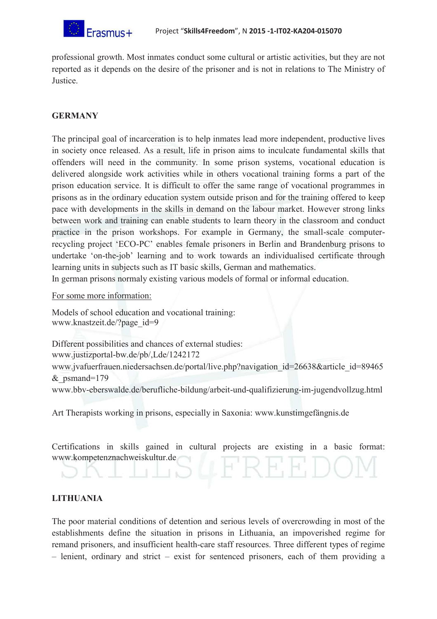

professional growth. Most inmates conduct some cultural or artistic activities, but they are not reported as it depends on the desire of the prisoner and is not in relations to The Ministry of Justice.

## **GERMANY**

The principal goal of incarceration is to help inmates lead more independent, productive lives in society once released. As a result, life in prison aims to inculcate fundamental skills that offenders will need in the community. In some prison systems, vocational education is delivered alongside work activities while in others vocational training forms a part of the prison education service. It is difficult to offer the same range of vocational programmes in prisons as in the ordinary education system outside prison and for the training offered to keep pace with developments in the skills in demand on the labour market. However strong links between work and training can enable students to learn theory in the classroom and conduct practice in the prison workshops. For example in Germany, the small-scale computerrecycling project 'ECO-PC' enables female prisoners in Berlin and Brandenburg prisons to undertake 'on-the-job' learning and to work towards an individualised certificate through learning units in subjects such as IT basic skills, German and mathematics.

In german prisons normaly existing various models of formal or informal education.

For some more information:

Models of school education and vocational training: www.knastzeit.de/?page\_id=9

Different possibilities and chances of external studies: www.justizportal-bw.de/pb/,Lde/1242172 www.jvafuerfrauen.niedersachsen.de/portal/live.php?navigation\_id=26638&article\_id=89465  $&$  psmand=179 www.bbv-eberswalde.de/berufliche-bildung/arbeit-und-qualifizierung-im-jugendvollzug.html

Art Therapists working in prisons, especially in Saxonia: www.kunstimgefängnis.de

Certifications in skills gained in cultural projects are existing in a basic format: www.kompetenznachweiskultur.de

# **LITHUANIA**

The poor material conditions of detention and serious levels of overcrowding in most of the establishments define the situation in prisons in Lithuania, an impoverished regime for remand prisoners, and insufficient health-care staff resources. Three different types of regime – lenient, ordinary and strict – exist for sentenced prisoners, each of them providing a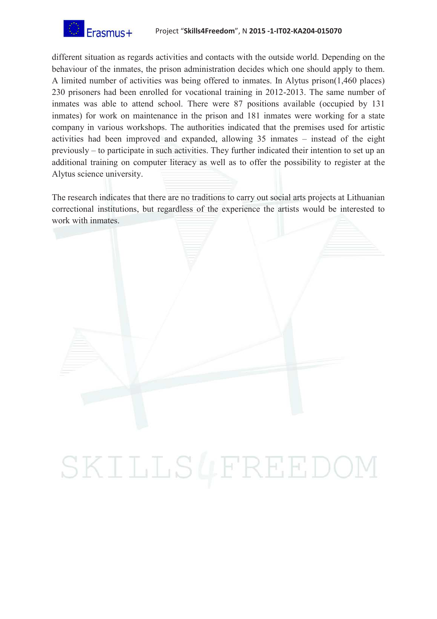

different situation as regards activities and contacts with the outside world. Depending on the behaviour of the inmates, the prison administration decides which one should apply to them. A limited number of activities was being offered to inmates. In Alytus prison(1,460 places) 230 prisoners had been enrolled for vocational training in 2012-2013. The same number of inmates was able to attend school. There were 87 positions available (occupied by 131 inmates) for work on maintenance in the prison and 181 inmates were working for a state company in various workshops. The authorities indicated that the premises used for artistic activities had been improved and expanded, allowing 35 inmates – instead of the eight previously – to participate in such activities. They further indicated their intention to set up an additional training on computer literacy as well as to offer the possibility to register at the Alytus science university.

The research indicates that there are no traditions to carry out social arts projects at Lithuanian correctional institutions, but regardless of the experience the artists would be interested to work with inmates.



# SKILLS4FREEDOI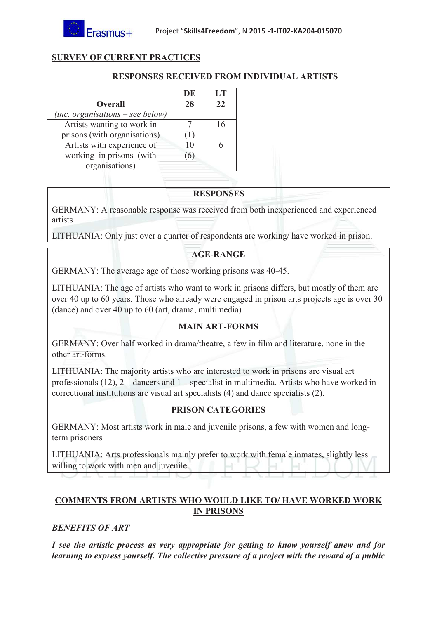# **SURVEY OF CURRENT PRACTICES**

# **RESPONSES RECEIVED FROM INDIVIDUAL ARTISTS**

|                                    | <b>DE</b> | LT |
|------------------------------------|-----------|----|
| <b>Overall</b>                     | 28        | 22 |
| $(inc. organisations - see below)$ |           |    |
| Artists wanting to work in         |           | 16 |
| prisons (with organisations)       |           |    |
| Artists with experience of         | 10        |    |
| working in prisons (with           | $\omega$  |    |
| organisations)                     |           |    |

## **RESPONSES**

GERMANY: A reasonable response was received from both inexperienced and experienced artists

LITHUANIA: Only just over a quarter of respondents are working/ have worked in prison.

# **AGE-RANGE**

GERMANY: The average age of those working prisons was 40-45.

LITHUANIA: The age of artists who want to work in prisons differs, but mostly of them are over 40 up to 60 years. Those who already were engaged in prison arts projects age is over 30 (dance) and over 40 up to 60 (art, drama, multimedia)

# **MAIN ART-FORMS**

GERMANY: Over half worked in drama/theatre, a few in film and literature, none in the other art-forms.

LITHUANIA: The majority artists who are interested to work in prisons are visual art professionals (12), 2 – dancers and 1 – specialist in multimedia. Artists who have worked in correctional institutions are visual art specialists (4) and dance specialists (2).

# **PRISON CATEGORIES**

GERMANY: Most artists work in male and juvenile prisons, a few with women and longterm prisoners

LITHUANIA: Arts professionals mainly prefer to work with female inmates, slightly less willing to work with men and juvenile.

# **COMMENTS FROM ARTISTS WHO WOULD LIKE TO/ HAVE WORKED WORK IN PRISONS**

# *BENEFITS OF ART*

*I see the artistic process as very appropriate for getting to know yourself anew and for learning to express yourself. The collective pressure of a project with the reward of a public*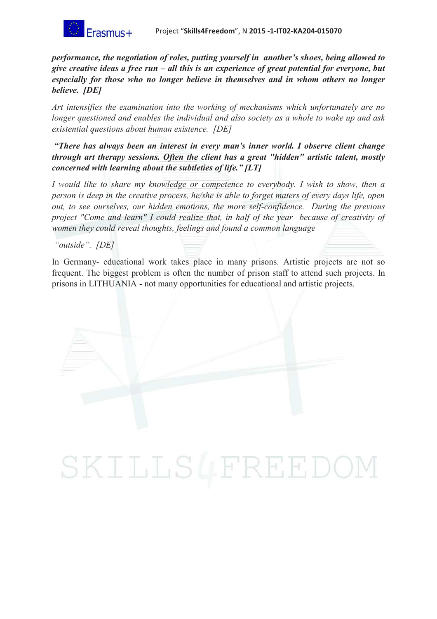

*performance, the negotiation of roles, putting yourself in another's shoes, being allowed to give creative ideas a free run – all this is an experience of great potential for everyone, but especially for those who no longer believe in themselves and in whom others no longer believe. [DE]*

*Art intensifies the examination into the working of mechanisms which unfortunately are no longer questioned and enables the individual and also society as a whole to wake up and ask existential questions about human existence. [DE]*

*"There has always been an interest in every man's inner world. I observe client change through art therapy sessions. Often the client has a great "hidden" artistic talent, mostly concerned with learning about the subtleties of life." [LT]*

*I* would like to share my knowledge or competence to everybody. *I* wish to show, then a *person is deep in the creative process, he/she is able to forget maters of every days life, open out, to see ourselves, our hidden emotions, the more self-confidence. During the previous project "Come and learn" I could realize that, in half of the year because of creativity of women they could reveal thoughts, feelings and found a common language* 

*"outside". [DE]*

In Germany- educational work takes place in many prisons. Artistic projects are not so frequent. The biggest problem is often the number of prison staff to attend such projects. In prisons in LITHUANIA - not many opportunities for educational and artistic projects.

# SKILLS4FREEDO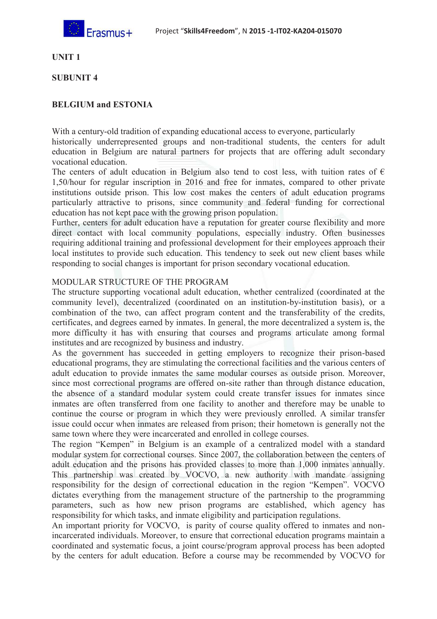

**UNIT 1** 

#### **SUBUNIT 4**

## **BELGIUM and ESTONIA**

With a century-old tradition of expanding educational access to everyone, particularly

historically underrepresented groups and non-traditional students, the centers for adult education in Belgium are natural partners for projects that are offering adult secondary vocational education.

The centers of adult education in Belgium also tend to cost less, with tuition rates of  $\epsilon$ 1,50/hour for regular inscription in 2016 and free for inmates, compared to other private institutions outside prison. This low cost makes the centers of adult education programs particularly attractive to prisons, since community and federal funding for correctional education has not kept pace with the growing prison population.

Further, centers for adult education have a reputation for greater course flexibility and more direct contact with local community populations, especially industry. Often businesses requiring additional training and professional development for their employees approach their local institutes to provide such education. This tendency to seek out new client bases while responding to social changes is important for prison secondary vocational education.

#### MODULAR STRUCTURE OF THE PROGRAM

The structure supporting vocational adult education, whether centralized (coordinated at the community level), decentralized (coordinated on an institution-by-institution basis), or a combination of the two, can affect program content and the transferability of the credits, certificates, and degrees earned by inmates. In general, the more decentralized a system is, the more difficulty it has with ensuring that courses and programs articulate among formal institutes and are recognized by business and industry.

As the government has succeeded in getting employers to recognize their prison-based educational programs, they are stimulating the correctional facilities and the various centers of adult education to provide inmates the same modular courses as outside prison. Moreover, since most correctional programs are offered on-site rather than through distance education, the absence of a standard modular system could create transfer issues for inmates since inmates are often transferred from one facility to another and therefore may be unable to continue the course or program in which they were previously enrolled. A similar transfer issue could occur when inmates are released from prison; their hometown is generally not the same town where they were incarcerated and enrolled in college courses.

The region "Kempen" in Belgium is an example of a centralized model with a standard modular system for correctional courses. Since 2007, the collaboration between the centers of adult education and the prisons has provided classes to more than 1,000 inmates annually. This partnership was created by VOCVO, a new authority with mandate assigning responsibility for the design of correctional education in the region "Kempen". VOCVO dictates everything from the management structure of the partnership to the programming parameters, such as how new prison programs are established, which agency has responsibility for which tasks, and inmate eligibility and participation regulations.

An important priority for VOCVO, is parity of course quality offered to inmates and nonincarcerated individuals. Moreover, to ensure that correctional education programs maintain a coordinated and systematic focus, a joint course/program approval process has been adopted by the centers for adult education. Before a course may be recommended by VOCVO for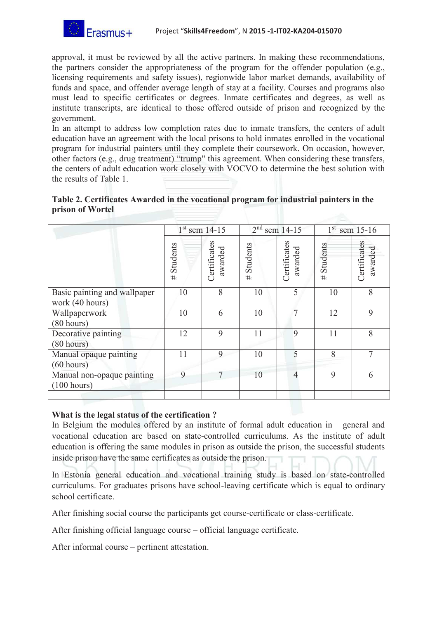

approval, it must be reviewed by all the active partners. In making these recommendations, the partners consider the appropriateness of the program for the offender population (e.g., licensing requirements and safety issues), regionwide labor market demands, availability of funds and space, and offender average length of stay at a facility. Courses and programs also must lead to specific certificates or degrees. Inmate certificates and degrees, as well as institute transcripts, are identical to those offered outside of prison and recognized by the government.

In an attempt to address low completion rates due to inmate transfers, the centers of adult education have an agreement with the local prisons to hold inmates enrolled in the vocational program for industrial painters until they complete their coursework. On occasion, however, other factors (e.g., drug treatment) "trump" this agreement. When considering these transfers, the centers of adult education work closely with VOCVO to determine the best solution with the results of Table 1.

|                  | Table 2. Certificates Awarded in the vocational program for industrial painters in the |  |
|------------------|----------------------------------------------------------------------------------------|--|
| prison of Wortel |                                                                                        |  |

|                                                 |               | $2nd$ sem 14-15<br>$1st$ sem 14-15 |               |                         | $1^{st}$ sem 15-16 |                         |
|-------------------------------------------------|---------------|------------------------------------|---------------|-------------------------|--------------------|-------------------------|
|                                                 | Students<br># | Certificates<br>awarded            | Students<br># | Certificates<br>awarded | Students<br>#      | Certificates<br>awarded |
| Basic painting and wallpaper<br>work (40 hours) | 10            | 8                                  | 10            | 5                       | 10                 | 8                       |
| Wallpaperwork<br>(80 hours)                     | 10            | 6                                  | 10            | 7                       | 12                 | 9                       |
| Decorative painting<br>(80 hours)               | 12            | 9                                  | 11            | 9                       | 11                 | 8                       |
| Manual opaque painting<br>(60 hours)            | 11            | 9                                  | 10            | 5                       | 8                  | 7                       |
| Manual non-opaque painting<br>(100 hours)       | 9             | 7                                  | 10            | $\overline{4}$          | 9                  | 6                       |
|                                                 |               |                                    |               |                         |                    |                         |

#### **What is the legal status of the certification ?**

In Belgium the modules offered by an institute of formal adult education in general and vocational education are based on state-controlled curriculums. As the institute of adult education is offering the same modules in prison as outside the prison, the successful students inside prison have the same certificates as outside the prison.

In Estonia general education and vocational training study is based on state-controlled curriculums. For graduates prisons have school-leaving certificate which is equal to ordinary school certificate.

After finishing social course the participants get course-certificate or class-certificate.

After finishing official language course – official language certificate.

After informal course – pertinent attestation.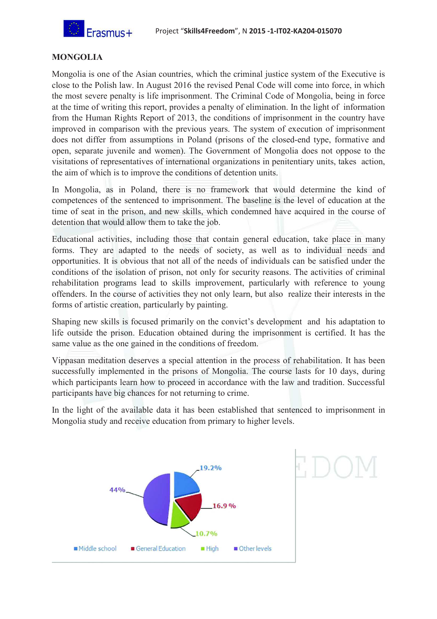

# **MONGOLIA**

Mongolia is one of the Asian countries, which the criminal justice system of the Executive is close to the Polish law. In August 2016 the revised Penal Code will come into force, in which the most severe penalty is life imprisonment. The Criminal Code of Mongolia, being in force at the time of writing this report, provides a penalty of elimination. In the light of information from the Human Rights Report of 2013, the conditions of imprisonment in the country have improved in comparison with the previous years. The system of execution of imprisonment does not differ from assumptions in Poland (prisons of the closed-end type, formative and open, separate juvenile and women). The Government of Mongolia does not oppose to the visitations of representatives of international organizations in penitentiary units, takes action, the aim of which is to improve the conditions of detention units.

In Mongolia, as in Poland, there is no framework that would determine the kind of competences of the sentenced to imprisonment. The baseline is the level of education at the time of seat in the prison, and new skills, which condemned have acquired in the course of detention that would allow them to take the job.

Educational activities, including those that contain general education, take place in many forms. They are adapted to the needs of society, as well as to individual needs and opportunities. It is obvious that not all of the needs of individuals can be satisfied under the conditions of the isolation of prison, not only for security reasons. The activities of criminal rehabilitation programs lead to skills improvement, particularly with reference to young offenders. In the course of activities they not only learn, but also realize their interests in the forms of artistic creation, particularly by painting.

Shaping new skills is focused primarily on the convict's development and his adaptation to life outside the prison. Education obtained during the imprisonment is certified. It has the same value as the one gained in the conditions of freedom.

Vippasan meditation deserves a special attention in the process of rehabilitation. It has been successfully implemented in the prisons of Mongolia. The course lasts for 10 days, during which participants learn how to proceed in accordance with the law and tradition. Successful participants have big chances for not returning to crime.

In the light of the available data it has been established that sentenced to imprisonment in Mongolia study and receive education from primary to higher levels.

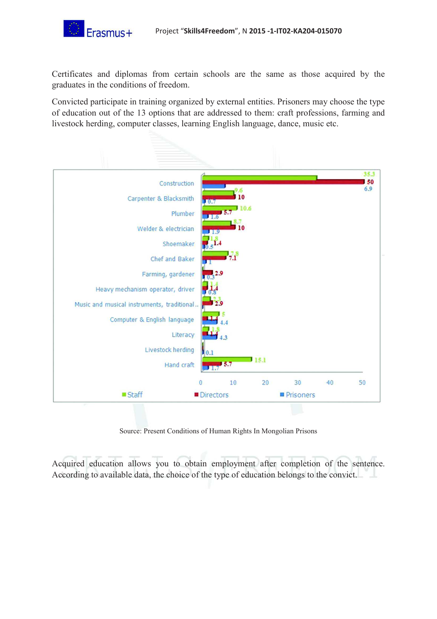

Certificates and diplomas from certain schools are the same as those acquired by the graduates in the conditions of freedom.

Convicted participate in training organized by external entities. Prisoners may choose the type of education out of the 13 options that are addressed to them: craft professions, farming and livestock herding, computer classes, learning English language, dance, music etc.



Source: Present Conditions of Human Rights In Mongolian Prisons

Acquired education allows you to obtain employment after completion of the sentence. According to available data, the choice of the type of education belongs to the convict.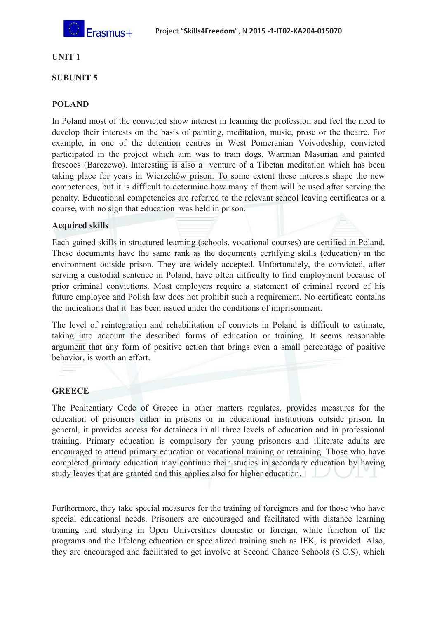

#### **UNIT 1**

#### **SUBUNIT 5**

#### **POLAND**

In Poland most of the convicted show interest in learning the profession and feel the need to develop their interests on the basis of painting, meditation, music, prose or the theatre. For example, in one of the detention centres in West Pomeranian Voivodeship, convicted participated in the project which aim was to train dogs, Warmian Masurian and painted frescoes (Barczewo). Interesting is also a venture of a Tibetan meditation which has been taking place for years in Wierzchów prison. To some extent these interests shape the new competences, but it is difficult to determine how many of them will be used after serving the penalty. Educational competencies are referred to the relevant school leaving certificates or a course, with no sign that education was held in prison.

#### **Acquired skills**

Each gained skills in structured learning (schools, vocational courses) are certified in Poland. These documents have the same rank as the documents certifying skills (education) in the environment outside prison. They are widely accepted. Unfortunately, the convicted, after serving a custodial sentence in Poland, have often difficulty to find employment because of prior criminal convictions. Most employers require a statement of criminal record of his future employee and Polish law does not prohibit such a requirement. No certificate contains the indications that it has been issued under the conditions of imprisonment.

The level of reintegration and rehabilitation of convicts in Poland is difficult to estimate, taking into account the described forms of education or training. It seems reasonable argument that any form of positive action that brings even a small percentage of positive behavior, is worth an effort.

#### **GREECE**

The Penitentiary Code of Greece in other matters regulates, provides measures for the education of prisoners either in prisons or in educational institutions outside prison. In general, it provides access for detainees in all three levels of education and in professional training. Primary education is compulsory for young prisoners and illiterate adults are encouraged to attend primary education or vocational training or retraining. Those who have completed primary education may continue their studies in secondary education by having study leaves that are granted and this applies also for higher education.

Furthermore, they take special measures for the training of foreigners and for those who have special educational needs. Prisoners are encouraged and facilitated with distance learning training and studying in Open Universities domestic or foreign, while function of the programs and the lifelong education or specialized training such as IEK, is provided. Also, they are encouraged and facilitated to get involve at Second Chance Schools (S.C.S), which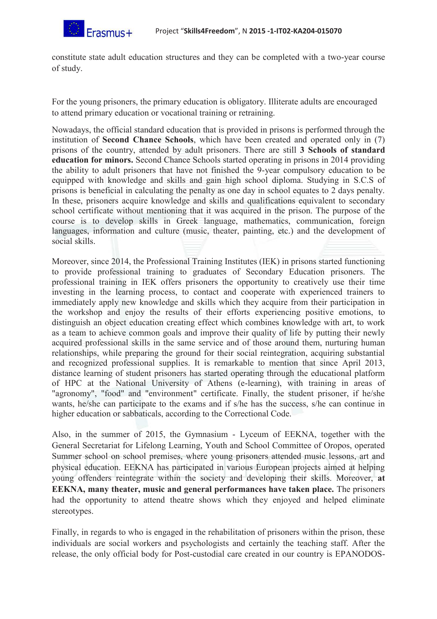

constitute state adult education structures and they can be completed with a two-year course of study.

For the young prisoners, the primary education is obligatory. Illiterate adults are encouraged to attend primary education or vocational training or retraining.

Nowadays, the official standard education that is provided in prisons is performed through the institution of **Second Chance Schools**, which have been created and operated only in (7) prisons of the country, attended by adult prisoners. There are still **3 Schools of standard education for minors.** Second Chance Schools started operating in prisons in 2014 providing the ability to adult prisoners that have not finished the 9-year compulsory education to be equipped with knowledge and skills and gain high school diploma. Studying in S.C.S of prisons is beneficial in calculating the penalty as one day in school equates to 2 days penalty. In these, prisoners acquire knowledge and skills and qualifications equivalent to secondary school certificate without mentioning that it was acquired in the prison. The purpose of the course is to develop skills in Greek language, mathematics, communication, foreign languages, information and culture (music, theater, painting, etc.) and the development of social skills.

Moreover, since 2014, the Professional Training Institutes (IEK) in prisons started functioning to provide professional training to graduates of Secondary Education prisoners. The professional training in IEK offers prisoners the opportunity to creatively use their time investing in the learning process, to contact and cooperate with experienced trainers to immediately apply new knowledge and skills which they acquire from their participation in the workshop and enjoy the results of their efforts experiencing positive emotions, to distinguish an object education creating effect which combines knowledge with art, to work as a team to achieve common goals and improve their quality of life by putting their newly acquired professional skills in the same service and of those around them, nurturing human relationships, while preparing the ground for their social reintegration, acquiring substantial and recognized professional supplies. It is remarkable to mention that since April 2013, distance learning of student prisoners has started operating through the educational platform of HPC at the National University of Athens (e-learning), with training in areas of "agronomy", "food" and "environment" certificate. Finally, the student prisoner, if he/she wants, he/she can participate to the exams and if s/he has the success, s/he can continue in higher education or sabbaticals, according to the Correctional Code.

Also, in the summer of 2015, the Gymnasium - Lyceum of EEKNA, together with the General Secretariat for Lifelong Learning, Youth and School Committee of Oropos, operated Summer school on school premises, where young prisoners attended music lessons, art and physical education. EEKNA has participated in various European projects aimed at helping young offenders reintegrate within the society and developing their skills. Moreover, **at EEKNA, many theater, music and general performances have taken place.** The prisoners had the opportunity to attend theatre shows which they enjoyed and helped eliminate stereotypes.

Finally, in regards to who is engaged in the rehabilitation of prisoners within the prison, these individuals are social workers and psychologists and certainly the teaching staff. After the release, the only official body for Post-custodial care created in our country is EPANODOS-